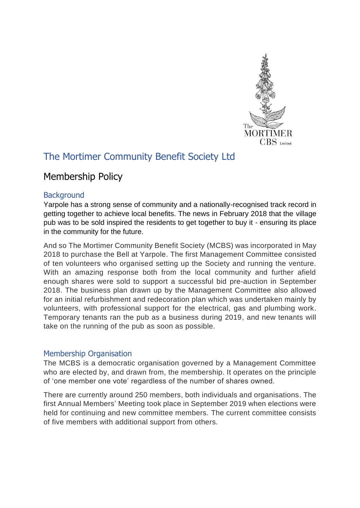

# The Mortimer Community Benefit Society Ltd

## Membership Policy

#### **Background**

Yarpole has a strong sense of community and a nationally-recognised track record in getting together to achieve local benefits. The news in February 2018 that the village pub was to be sold inspired the residents to get together to buy it - ensuring its place in the community for the future.

And so The Mortimer Community Benefit Society (MCBS) was incorporated in May 2018 to purchase the Bell at Yarpole. The first Management Committee consisted of ten volunteers who organised setting up the Society and running the venture. With an amazing response both from the local community and further afield enough shares were sold to support a successful bid pre-auction in September 2018. The business plan drawn up by the Management Committee also allowed for an initial refurbishment and redecoration plan which was undertaken mainly by volunteers, with professional support for the electrical, gas and plumbing work. Temporary tenants ran the pub as a business during 2019, and new tenants will take on the running of the pub as soon as possible.

### Membership Organisation

The MCBS is a democratic organisation governed by a Management Committee who are elected by, and drawn from, the membership. It operates on the principle of 'one member one vote' regardless of the number of shares owned.

There are currently around 250 members, both individuals and organisations. The first Annual Members' Meeting took place in September 2019 when elections were held for continuing and new committee members. The current committee consists of five members with additional support from others.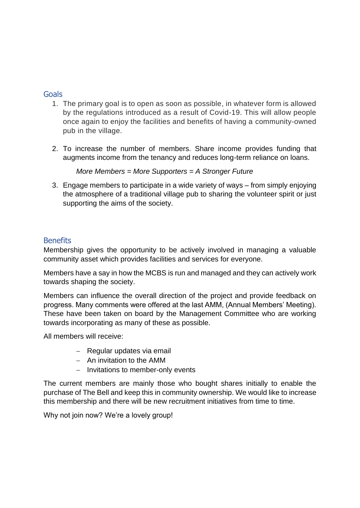#### **Goals**

- 1. The primary goal is to open as soon as possible, in whatever form is allowed by the regulations introduced as a result of Covid-19. This will allow people once again to enjoy the facilities and benefits of having a community-owned pub in the village.
- 2. To increase the number of members. Share income provides funding that augments income from the tenancy and reduces long-term reliance on loans.

*More Members = More Supporters = A Stronger Future*

3. Engage members to participate in a wide variety of ways – from simply enjoying the atmosphere of a traditional village pub to sharing the volunteer spirit or just supporting the aims of the society.

### **Benefits**

Membership gives the opportunity to be actively involved in managing a valuable community asset which provides facilities and services for everyone.

Members have a say in how the MCBS is run and managed and they can actively work towards shaping the society.

Members can influence the overall direction of the project and provide feedback on progress. Many comments were offered at the last AMM, (Annual Members' Meeting). These have been taken on board by the Management Committee who are working towards incorporating as many of these as possible.

All members will receive:

- − Regular updates via email
- − An invitation to the AMM
- − Invitations to member-only events

The current members are mainly those who bought shares initially to enable the purchase of The Bell and keep this in community ownership. We would like to increase this membership and there will be new recruitment initiatives from time to time.

Why not join now? We're a lovely group!